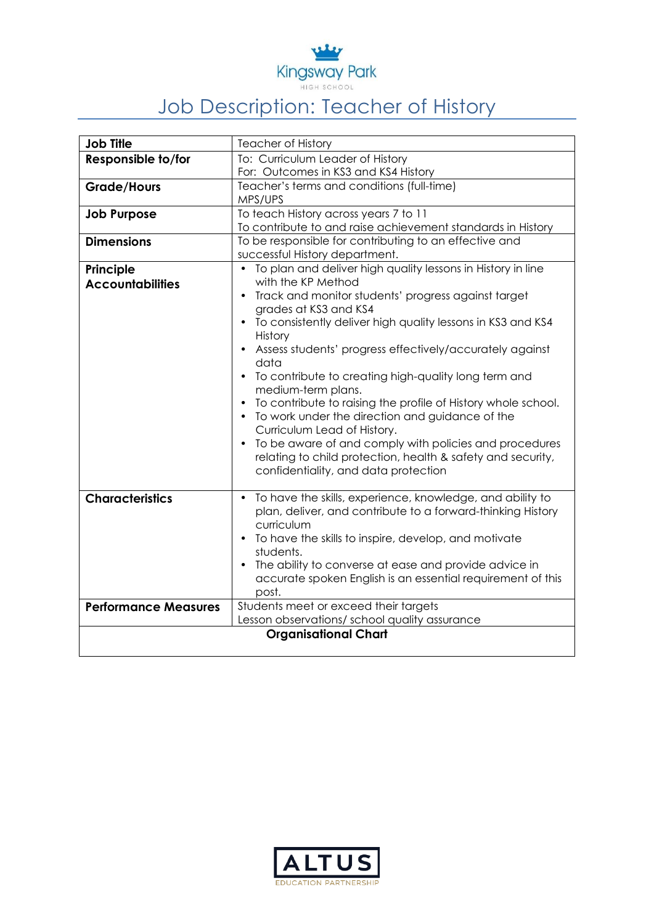

## Job Description: Teacher of History

| <b>Job Title</b>            | <b>Teacher of History</b>                                     |
|-----------------------------|---------------------------------------------------------------|
| Responsible to/for          | To: Curriculum Leader of History                              |
|                             | For: Outcomes in KS3 and KS4 History                          |
| <b>Grade/Hours</b>          | Teacher's terms and conditions (full-time)                    |
|                             | MPS/UPS                                                       |
| <b>Job Purpose</b>          | To teach History across years 7 to 11                         |
|                             | To contribute to and raise achievement standards in History   |
| <b>Dimensions</b>           | To be responsible for contributing to an effective and        |
|                             | successful History department.                                |
| Principle                   | • To plan and deliver high quality lessons in History in line |
| <b>Accountabilities</b>     | with the KP Method                                            |
|                             | Track and monitor students' progress against target           |
|                             | grades at KS3 and KS4                                         |
|                             | To consistently deliver high quality lessons in KS3 and KS4   |
|                             | History                                                       |
|                             | Assess students' progress effectively/accurately against      |
|                             | data                                                          |
|                             | • To contribute to creating high-quality long term and        |
|                             | medium-term plans.                                            |
|                             | To contribute to raising the profile of History whole school. |
|                             | • To work under the direction and guidance of the             |
|                             | Curriculum Lead of History.                                   |
|                             | • To be aware of and comply with policies and procedures      |
|                             | relating to child protection, health & safety and security,   |
|                             | confidentiality, and data protection                          |
|                             |                                                               |
| <b>Characteristics</b>      | • To have the skills, experience, knowledge, and ability to   |
|                             | plan, deliver, and contribute to a forward-thinking History   |
|                             | curriculum                                                    |
|                             | • To have the skills to inspire, develop, and motivate        |
|                             | students.                                                     |
|                             | The ability to converse at ease and provide advice in         |
|                             | accurate spoken English is an essential requirement of this   |
|                             | post.                                                         |
| <b>Performance Measures</b> | Students meet or exceed their targets                         |
|                             | Lesson observations/ school quality assurance                 |
| <b>Organisational Chart</b> |                                                               |
|                             |                                                               |